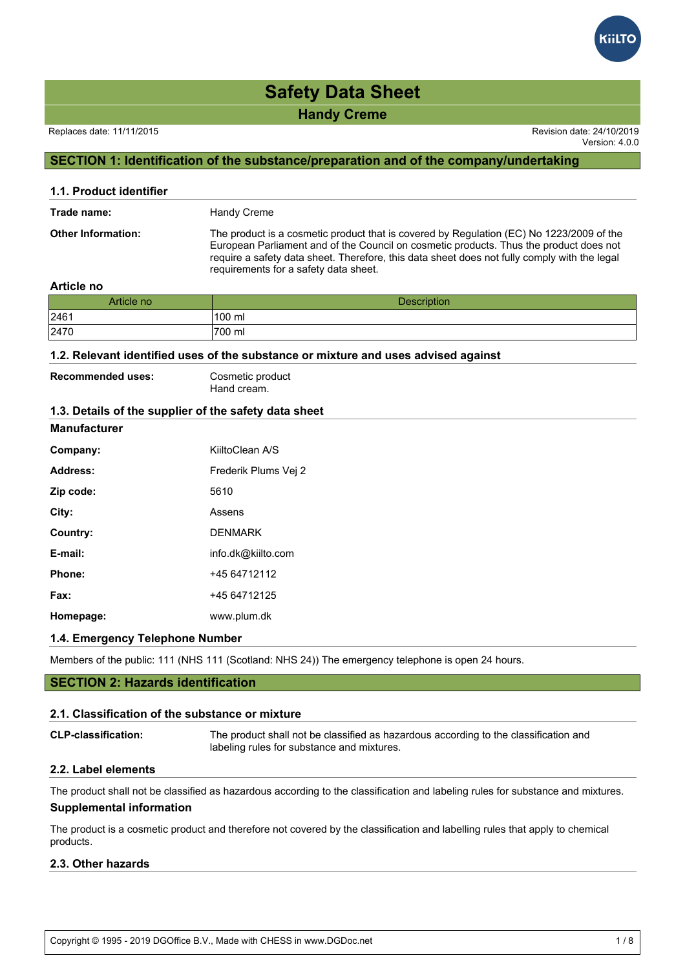#### Replaces date: 11/11/2015 Revision date: 24/10/2019

Version: 4.0.0

#### **SECTION 1: Identification of the substance/preparation and of the company/undertaking**

| 1.1. Product identifier   |                                                                                                                                                                                                                                                                                                                             |
|---------------------------|-----------------------------------------------------------------------------------------------------------------------------------------------------------------------------------------------------------------------------------------------------------------------------------------------------------------------------|
| Trade name:               | Handy Creme                                                                                                                                                                                                                                                                                                                 |
| <b>Other Information:</b> | The product is a cosmetic product that is covered by Regulation (EC) No 1223/2009 of the<br>European Parliament and of the Council on cosmetic products. Thus the product does not<br>require a safety data sheet. Therefore, this data sheet does not fully comply with the legal<br>requirements for a safety data sheet. |

#### **Article no**

| Article no | <b>Description</b>  |
|------------|---------------------|
| 2461       | 100 ml              |
| 2470       | <sup>1</sup> 700 ml |

#### **1.2. Relevant identified uses of the substance or mixture and uses advised against**

| <b>Recommended uses:</b> | Cosmetic product |
|--------------------------|------------------|
|                          | Hand cream.      |

#### **1.3. Details of the supplier of the safety data sheet**

#### **Manufacturer**

| Company:  | KiiltoClean A/S      |
|-----------|----------------------|
| Address:  | Frederik Plums Vej 2 |
| Zip code: | 5610                 |
| City:     | Assens               |
| Country:  | <b>DENMARK</b>       |
| E-mail:   | info.dk@kiilto.com   |
| Phone:    | +45 64712112         |
| Fax:      | +45 64712125         |
| Homepage: | www.plum.dk          |

#### **1.4. Emergency Telephone Number**

Members of the public: 111 (NHS 111 (Scotland: NHS 24)) The emergency telephone is open 24 hours.

#### **SECTION 2: Hazards identification**

#### **2.1. Classification of the substance or mixture**

| <b>CLP-classification:</b>                                           | The product shall not be classified as hazardous according to the classification and<br>labeling rules for substance and mixtures. |
|----------------------------------------------------------------------|------------------------------------------------------------------------------------------------------------------------------------|
| $\bigwedge \bigwedge \bigwedge$ is the set of the set of $\bigwedge$ |                                                                                                                                    |

#### **2.2. Label elements**

The product shall not be classified as hazardous according to the classification and labeling rules for substance and mixtures. **Supplemental information**

The product is a cosmetic product and therefore not covered by the classification and labelling rules that apply to chemical products.

#### **2.3. Other hazards**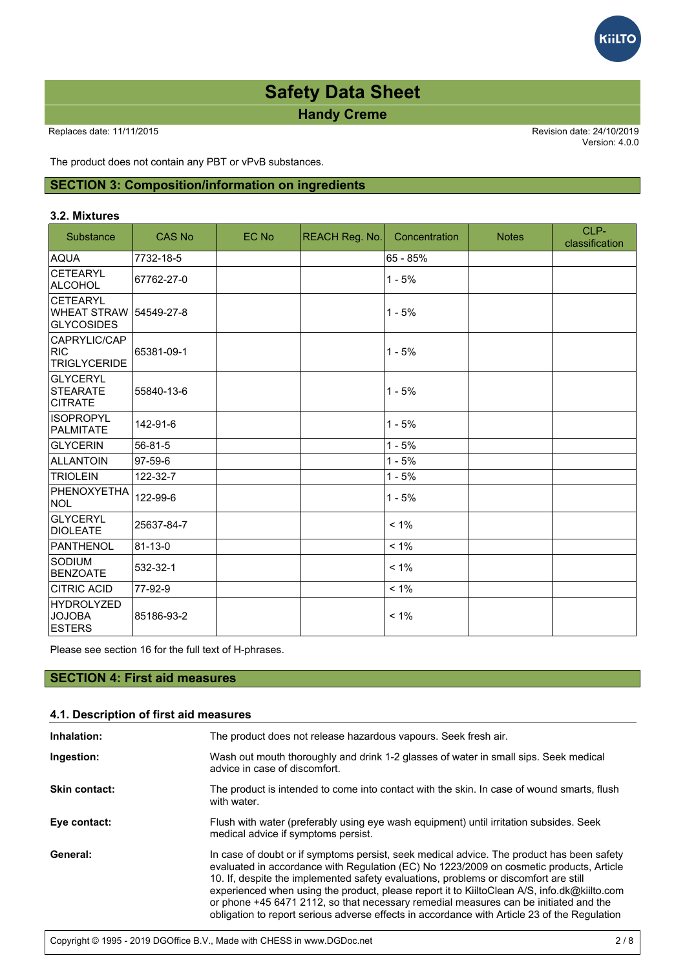

Version: 4.0.0

Kii<mark>l</mark>TC

The product does not contain any PBT or vPvB substances.

#### **SECTION 3: Composition/information on ingredients**

#### **3.2. Mixtures**

| Substance                                           | <b>CAS No</b> | EC No | <b>REACH Reg. No.</b> | Concentration | <b>Notes</b> | CLP-<br>classification |
|-----------------------------------------------------|---------------|-------|-----------------------|---------------|--------------|------------------------|
| AQUA                                                | 7732-18-5     |       |                       | 65 - 85%      |              |                        |
| <b>CETEARYL</b><br>ALCOHOL                          | 67762-27-0    |       |                       | $1 - 5%$      |              |                        |
| <b>CETEARYL</b><br>WHEAT STRAW<br>GLYCOSIDES        | 154549-27-8   |       |                       | $1 - 5%$      |              |                        |
| CAPRYLIC/CAP<br>RIC<br><b>TRIGLYCERIDE</b>          | 65381-09-1    |       |                       | $1 - 5%$      |              |                        |
| <b>GLYCERYL</b><br>STEARATE<br><b>CITRATE</b>       | 55840-13-6    |       |                       | $1 - 5%$      |              |                        |
| <b>ISOPROPYL</b><br><b>PALMITATE</b>                | 142-91-6      |       |                       | $1 - 5%$      |              |                        |
| <b>GLYCERIN</b>                                     | 56-81-5       |       |                       | $1 - 5%$      |              |                        |
| ALLANTOIN                                           | 97-59-6       |       |                       | $1 - 5%$      |              |                        |
| <b>TRIOLEIN</b>                                     | 122-32-7      |       |                       | $1 - 5%$      |              |                        |
| PHENOXYETHA<br><b>NOL</b>                           | 122-99-6      |       |                       | $1 - 5%$      |              |                        |
| <b>GLYCERYL</b><br><b>DIOLEATE</b>                  | 25637-84-7    |       |                       | $< 1\%$       |              |                        |
| <b>PANTHENOL</b>                                    | 81-13-0       |       |                       | $< 1\%$       |              |                        |
| <b>SODIUM</b><br><b>BENZOATE</b>                    | 532-32-1      |       |                       | $< 1\%$       |              |                        |
| <b>CITRIC ACID</b>                                  | 77-92-9       |       |                       | $< 1\%$       |              |                        |
| <b>HYDROLYZED</b><br><b>JOJOBA</b><br><b>ESTERS</b> | 85186-93-2    |       |                       | $< 1\%$       |              |                        |

Please see section 16 for the full text of H-phrases.

### **SECTION 4: First aid measures**

| 4.1. Description of first aid measures |                                                                                                                                                                                                                                                                                                                                                                                                                                                                                                                                                                     |  |
|----------------------------------------|---------------------------------------------------------------------------------------------------------------------------------------------------------------------------------------------------------------------------------------------------------------------------------------------------------------------------------------------------------------------------------------------------------------------------------------------------------------------------------------------------------------------------------------------------------------------|--|
| Inhalation:                            | The product does not release hazardous vapours. Seek fresh air.                                                                                                                                                                                                                                                                                                                                                                                                                                                                                                     |  |
| Ingestion:                             | Wash out mouth thoroughly and drink 1-2 glasses of water in small sips. Seek medical<br>advice in case of discomfort.                                                                                                                                                                                                                                                                                                                                                                                                                                               |  |
| <b>Skin contact:</b>                   | The product is intended to come into contact with the skin. In case of wound smarts, flush<br>with water.                                                                                                                                                                                                                                                                                                                                                                                                                                                           |  |
| Eye contact:                           | Flush with water (preferably using eye wash equipment) until irritation subsides. Seek<br>medical advice if symptoms persist.                                                                                                                                                                                                                                                                                                                                                                                                                                       |  |
| General:                               | In case of doubt or if symptoms persist, seek medical advice. The product has been safety<br>evaluated in accordance with Regulation (EC) No 1223/2009 on cosmetic products, Article<br>10. If, despite the implemented safety evaluations, problems or discomfort are still<br>experienced when using the product, please report it to KiiltoClean A/S, info.dk@kiilto.com<br>or phone +45 6471 2112, so that necessary remedial measures can be initiated and the<br>obligation to report serious adverse effects in accordance with Article 23 of the Regulation |  |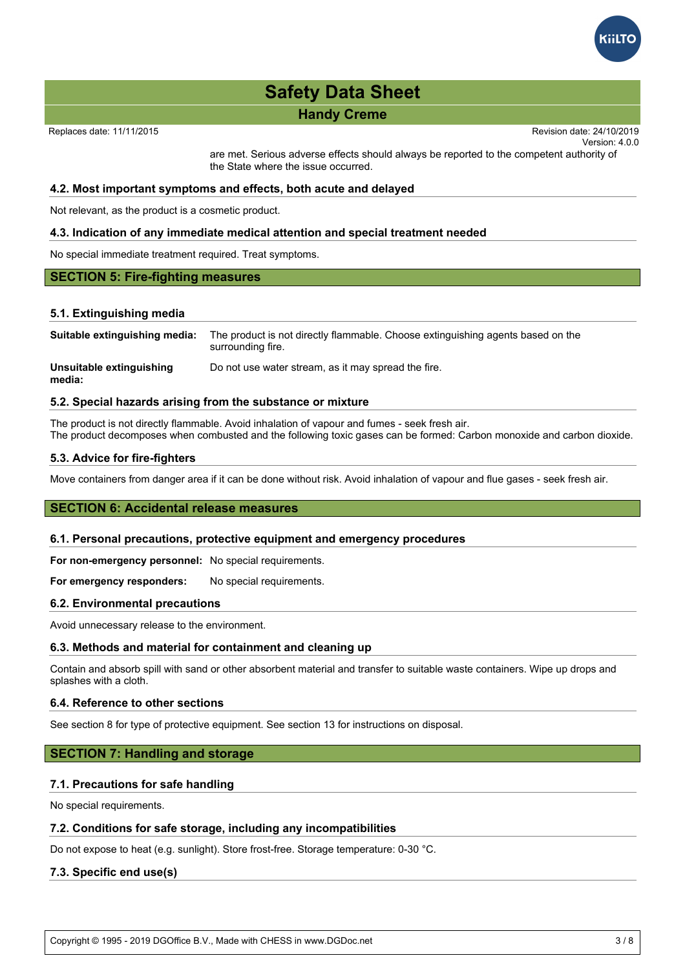

# **Safety Data Sheet advice. The products persisted in accordance with Regulated in accordance with Regulated in a**

#### **Handy Creme** 10. If despite the implemented safety evaluations, problems of the implemented safety evaluations, problems of the implemented safety evaluations, problems of the implemented safety evaluations, problems of t experienced when using the product it to Kiilton and the product it to Kiilton A/S, info.dk

Replaces date: 11/11/2015

Version: 4.0.0 Revision date:  $24/10/2019$ obligation to report serious adverse effects in accordance with Article 23 of the Regulation  $\epsilon$ 

are met. Serious adverse effects should always be reported to the competent authority of the State where the issue occurred.

#### **4.2. Most important symptoms and effects, both acute and delayed**

Not relevant, as the product is a cosmetic product.

#### **4.3. Indication of any immediate medical attention and special treatment needed**

No special immediate treatment required. Treat symptoms.

#### **SECTION 5: Fire-fighting measures**

#### **5.1. Extinguishing media**

**media:**

**Suitable extinguishing media:** The product is not directly flammable. Choose extinguishing agents based on the surrounding fire. **Unsuitable extinguishing** Do not use water stream, as it may spread the fire.

#### **5.2. Special hazards arising from the substance or mixture**

The product is not directly flammable. Avoid inhalation of vapour and fumes - seek fresh air. The product decomposes when combusted and the following toxic gases can be formed: Carbon monoxide and carbon dioxide.

#### **5.3. Advice for fire-fighters**

Move containers from danger area if it can be done without risk. Avoid inhalation of vapour and flue gases - seek fresh air.

#### **SECTION 6: Accidental release measures**

#### **6.1. Personal precautions, protective equipment and emergency procedures**

**For non-emergency personnel:** No special requirements.

**For emergency responders:** No special requirements.

#### **6.2. Environmental precautions**

Avoid unnecessary release to the environment.

#### **6.3. Methods and material for containment and cleaning up**

Contain and absorb spill with sand or other absorbent material and transfer to suitable waste containers. Wipe up drops and splashes with a cloth.

#### **6.4. Reference to other sections**

See section 8 for type of protective equipment. See section 13 for instructions on disposal.

#### **SECTION 7: Handling and storage**

#### **7.1. Precautions for safe handling**

No special requirements.

#### **7.2. Conditions for safe storage, including any incompatibilities**

Do not expose to heat (e.g. sunlight). Store frost-free. Storage temperature: 0-30 °C.

#### **7.3. Specific end use(s)**

Copyright © 1995 - 2019 DGOffice B.V., Made with CHESS in www.DGDoc.net 3 / 8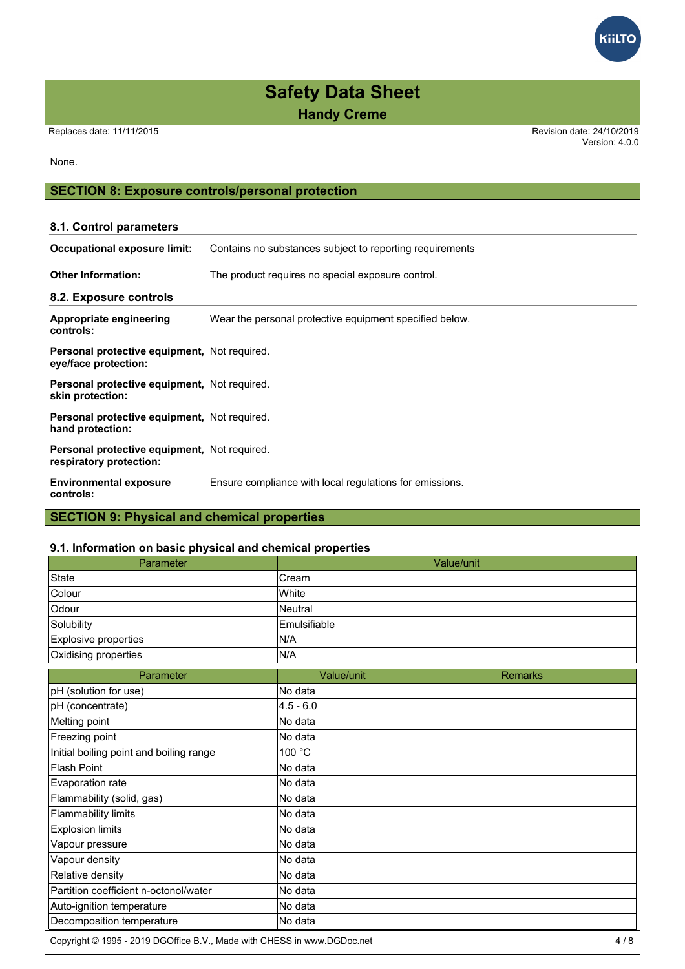# **Safety Data Sheet**

**Handy Creme**

Version: 4.0.0

#### None.

#### **SECTION 8: Exposure controls/personal protection**

### **8.1. Control parameters Occupational exposure limit:** Contains no substances subject to reporting requirements **Other Information:** The product requires no special exposure control. **8.2. Exposure controls Appropriate engineering controls:** Wear the personal protective equipment specified below. **Personal protective equipment,** Not required. **eye/face protection: Personal protective equipment,** Not required. **skin protection: Personal protective equipment,** Not required. **hand protection: Personal protective equipment,** Not required. **respiratory protection: Environmental exposure controls:** Ensure compliance with local regulations for emissions.

# **SECTION 9: Physical and chemical properties**

#### **9.1. Information on basic physical and chemical properties**

| Parameter                                                               |                | Value/unit     |
|-------------------------------------------------------------------------|----------------|----------------|
| <b>State</b>                                                            | Cream          |                |
| Colour                                                                  | White          |                |
| Odour                                                                   | <b>Neutral</b> |                |
| Solubility                                                              | Emulsifiable   |                |
| Explosive properties                                                    | N/A            |                |
| Oxidising properties                                                    | N/A            |                |
| Parameter                                                               | Value/unit     | <b>Remarks</b> |
| pH (solution for use)                                                   | No data        |                |
| pH (concentrate)                                                        | $4.5 - 6.0$    |                |
| Melting point                                                           | No data        |                |
| Freezing point                                                          | No data        |                |
| Initial boiling point and boiling range                                 | 100 °C         |                |
| <b>Flash Point</b>                                                      | No data        |                |
| Evaporation rate                                                        | No data        |                |
| Flammability (solid, gas)                                               | No data        |                |
| <b>Flammability limits</b>                                              | No data        |                |
| <b>Explosion limits</b>                                                 | No data        |                |
| Vapour pressure                                                         | No data        |                |
| Vapour density                                                          | No data        |                |
| Relative density                                                        | No data        |                |
| Partition coefficient n-octonol/water                                   | No data        |                |
| Auto-ignition temperature                                               | No data        |                |
| Decomposition temperature                                               | No data        |                |
| Copyright © 1995 - 2019 DGOffice B.V., Made with CHESS in www.DGDoc.net |                | 4/8            |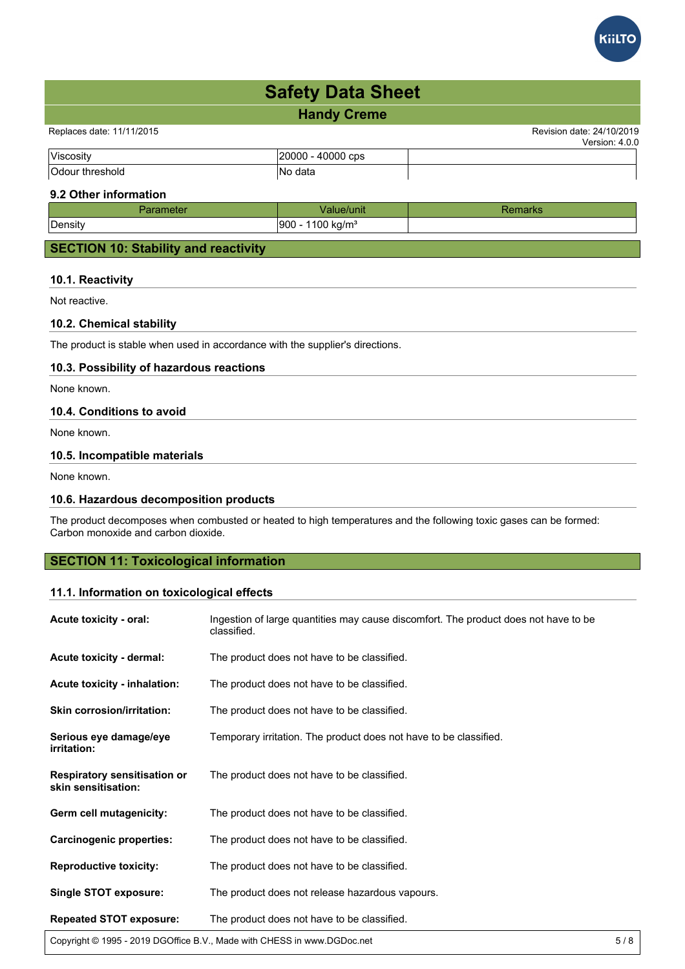

Replaces date: 11/11/2015 Revision date: 24/10/2019

| $l$ lionne                    | CDS:               |  |
|-------------------------------|--------------------|--|
| $\sqrt{2}$<br>- - - -<br>OU O | dotr<br>в.,<br>alc |  |

#### **9.2 Other information**

| 4clcr   | 'alue/unit                                         | an No |
|---------|----------------------------------------------------|-------|
| Density | , kg/m <sup>3</sup><br>1900<br>1100<br>$\sim$<br>ີ |       |
|         |                                                    |       |

#### **SECTION 10: Stability and reactivity**

#### **10.1. Reactivity**

Not reactive.

#### **10.2. Chemical stability**

The product is stable when used in accordance with the supplier's directions.

#### **10.3. Possibility of hazardous reactions**

None known.

#### **10.4. Conditions to avoid**

None known.

#### **10.5. Incompatible materials**

None known.

#### **10.6. Hazardous decomposition products**

The product decomposes when combusted or heated to high temperatures and the following toxic gases can be formed: Carbon monoxide and carbon dioxide.

#### **SECTION 11: Toxicological information**

#### **11.1. Information on toxicological effects**

| Acute toxicity - oral:                                     | Ingestion of large quantities may cause discomfort. The product does not have to be<br>classified. |  |  |
|------------------------------------------------------------|----------------------------------------------------------------------------------------------------|--|--|
| Acute toxicity - dermal:                                   | The product does not have to be classified.                                                        |  |  |
| Acute toxicity - inhalation:                               | The product does not have to be classified.                                                        |  |  |
| <b>Skin corrosion/irritation:</b>                          | The product does not have to be classified.                                                        |  |  |
| Serious eye damage/eye<br>irritation:                      | Temporary irritation. The product does not have to be classified.                                  |  |  |
| <b>Respiratory sensitisation or</b><br>skin sensitisation: | The product does not have to be classified.                                                        |  |  |
| Germ cell mutagenicity:                                    | The product does not have to be classified.                                                        |  |  |
| <b>Carcinogenic properties:</b>                            | The product does not have to be classified.                                                        |  |  |
| <b>Reproductive toxicity:</b>                              | The product does not have to be classified.                                                        |  |  |
| <b>Single STOT exposure:</b>                               | The product does not release hazardous vapours.                                                    |  |  |
| <b>Repeated STOT exposure:</b>                             | The product does not have to be classified.                                                        |  |  |

Copyright © 1995 - 2019 DGOffice B.V., Made with CHESS in www.DGDoc.net 5 / 8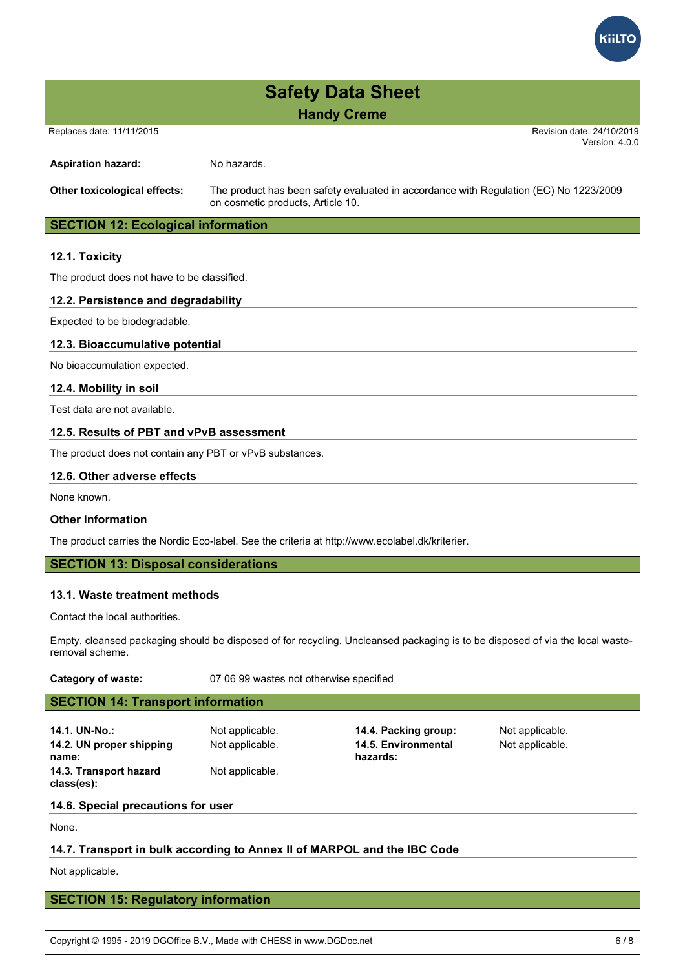

#### Replaces date: 11/11/2015 Revision date: 24/10/2019

Version: 4.0.0

Aspiration hazard: No hazards.

**Other toxicological effects:** The product has been safety evaluated in accordance with Regulation (EC) No 1223/2009 on cosmetic products, Article 10.

#### **SECTION 12: Ecological information**

#### **12.1. Toxicity**

The product does not have to be classified.

#### **12.2. Persistence and degradability**

Expected to be biodegradable.

#### **12.3. Bioaccumulative potential**

No bioaccumulation expected.

#### **12.4. Mobility in soil**

Test data are not available.

#### **12.5. Results of PBT and vPvB assessment**

The product does not contain any PBT or vPvB substances.

#### **12.6. Other adverse effects**

None known.

#### **Other Information**

The product carries the Nordic Eco-label. See the criteria at http://www.ecolabel.dk/kriterier.

#### **SECTION 13: Disposal considerations**

#### **13.1. Waste treatment methods**

Contact the local authorities.

Empty, cleansed packaging should be disposed of for recycling. Uncleansed packaging is to be disposed of via the local wasteremoval scheme.

**Category of waste:** 07 06 99 wastes not otherwise specified

#### **SECTION 14: Transport information**

- **14.1. UN-No.:** Not applicable. **14.4. Packing group:** Not applicable. **14.2. UN proper shipping name: 14.3. Transport hazard class(es):**
	- Not applicable.

Not applicable. **14.5. Environmental hazards:**

Not applicable.

#### **14.6. Special precautions for user**

None.

#### **14.7. Transport in bulk according to Annex II of MARPOL and the IBC Code**

Not applicable.

#### **SECTION 15: Regulatory information**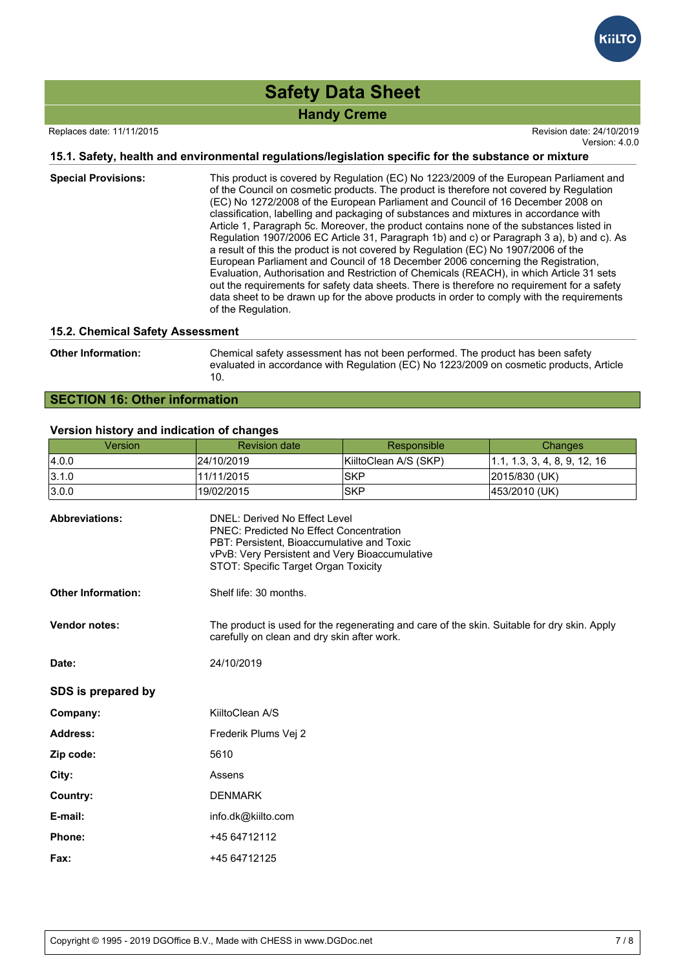# **Safety Data Sheet**

### **Handy Creme**

Replaces date: 11/11/2015 Revision date: 24/10/2019

Version: 4.0.0

#### **15.1. Safety, health and environmental regulations/legislation specific for the substance or mixture**

| <b>Special Provisions:</b> | This product is covered by Regulation (EC) No 1223/2009 of the European Parliament and<br>of the Council on cosmetic products. The product is therefore not covered by Regulation<br>(EC) No 1272/2008 of the European Parliament and Council of 16 December 2008 on<br>classification, labelling and packaging of substances and mixtures in accordance with<br>Article 1, Paragraph 5c. Moreover, the product contains none of the substances listed in<br>Regulation 1907/2006 EC Article 31, Paragraph 1b) and c) or Paragraph 3 a), b) and c). As<br>a result of this the product is not covered by Regulation (EC) No 1907/2006 of the<br>European Parliament and Council of 18 December 2006 concerning the Registration,<br>Evaluation, Authorisation and Restriction of Chemicals (REACH), in which Article 31 sets<br>out the requirements for safety data sheets. There is therefore no requirement for a safety<br>data sheet to be drawn up for the above products in order to comply with the requirements<br>of the Regulation. |
|----------------------------|------------------------------------------------------------------------------------------------------------------------------------------------------------------------------------------------------------------------------------------------------------------------------------------------------------------------------------------------------------------------------------------------------------------------------------------------------------------------------------------------------------------------------------------------------------------------------------------------------------------------------------------------------------------------------------------------------------------------------------------------------------------------------------------------------------------------------------------------------------------------------------------------------------------------------------------------------------------------------------------------------------------------------------------------|
|----------------------------|------------------------------------------------------------------------------------------------------------------------------------------------------------------------------------------------------------------------------------------------------------------------------------------------------------------------------------------------------------------------------------------------------------------------------------------------------------------------------------------------------------------------------------------------------------------------------------------------------------------------------------------------------------------------------------------------------------------------------------------------------------------------------------------------------------------------------------------------------------------------------------------------------------------------------------------------------------------------------------------------------------------------------------------------|

#### **15.2. Chemical Safety Assessment**

**Other Information:** Chemical safety assessment has not been performed. The product has been safety evaluated in accordance with Regulation (EC) No 1223/2009 on cosmetic products, Article 10.

#### **SECTION 16: Other information**

#### **Version history and indication of changes**

| Version                   | <b>Revision date</b>   | Responsible                                                                                                                                                                                                                    | Changes                      |  |
|---------------------------|------------------------|--------------------------------------------------------------------------------------------------------------------------------------------------------------------------------------------------------------------------------|------------------------------|--|
| 4.0.0                     | 24/10/2019             | KiiltoClean A/S (SKP)                                                                                                                                                                                                          | 1.1, 1.3, 3, 4, 8, 9, 12, 16 |  |
| 3.1.0                     | 11/11/2015             | <b>SKP</b>                                                                                                                                                                                                                     | 2015/830 (UK)                |  |
| 3.0.0                     | 19/02/2015             | <b>SKP</b>                                                                                                                                                                                                                     | 453/2010 (UK)                |  |
| <b>Abbreviations:</b>     |                        | <b>DNEL: Derived No Effect Level</b><br><b>PNEC: Predicted No Effect Concentration</b><br>PBT: Persistent, Bioaccumulative and Toxic<br>vPvB: Very Persistent and Very Bioaccumulative<br>STOT: Specific Target Organ Toxicity |                              |  |
| <b>Other Information:</b> | Shelf life: 30 months. |                                                                                                                                                                                                                                |                              |  |
| Vendor notes:             |                        | The product is used for the regenerating and care of the skin. Suitable for dry skin. Apply<br>carefully on clean and dry skin after work.                                                                                     |                              |  |
| Date:                     | 24/10/2019             |                                                                                                                                                                                                                                |                              |  |
| SDS is prepared by        |                        |                                                                                                                                                                                                                                |                              |  |
| Company:                  | KiiltoClean A/S        |                                                                                                                                                                                                                                |                              |  |
| Address:                  | Frederik Plums Vej 2   |                                                                                                                                                                                                                                |                              |  |
| Zip code:                 | 5610                   |                                                                                                                                                                                                                                |                              |  |
| City:                     | Assens                 |                                                                                                                                                                                                                                |                              |  |
| Country:                  | <b>DENMARK</b>         |                                                                                                                                                                                                                                |                              |  |
| E-mail:                   | info.dk@kiilto.com     |                                                                                                                                                                                                                                |                              |  |
| Phone:                    | +45 64712112           |                                                                                                                                                                                                                                |                              |  |
| Fax:                      | +45 64712125           |                                                                                                                                                                                                                                |                              |  |